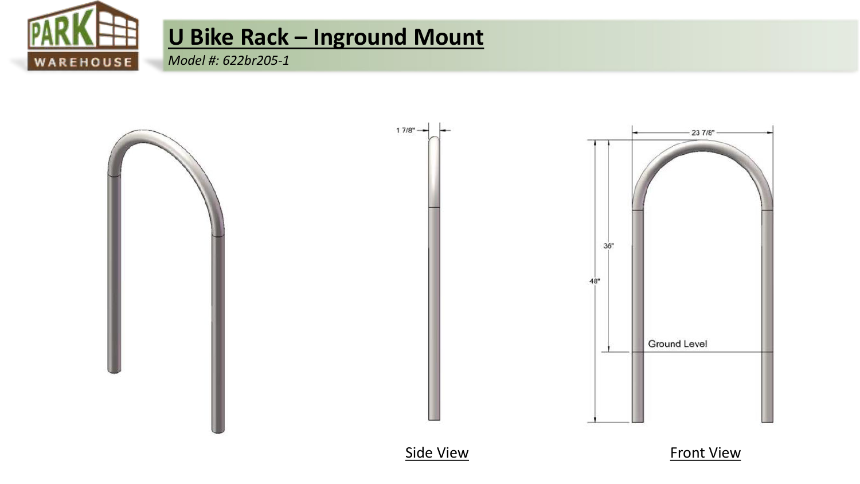

## U Bike Rack - Inground Mount

Model #: 622br205-1



**Side View** 

**Front View**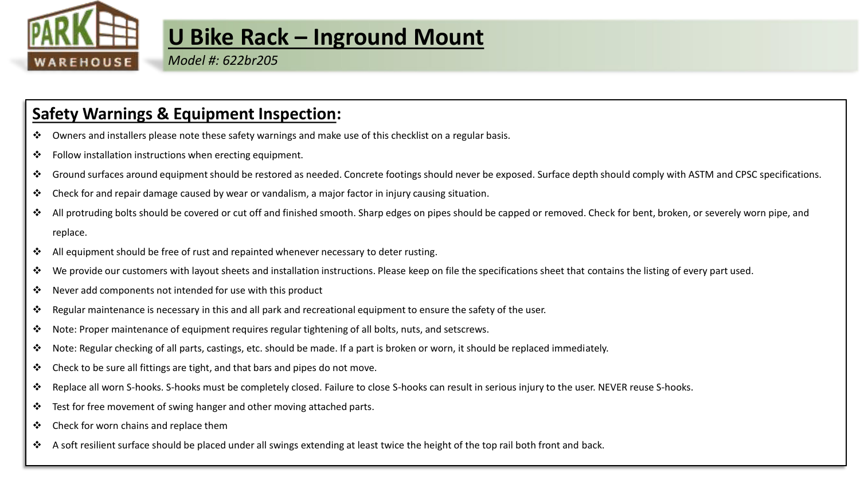

### **U Bike Rack – Inground Mount**

*Model #: 622br205*

#### **Safety Warnings & Equipment Inspection:**

- ❖ Owners and installers please note these safety warnings and make use of this checklist on a regular basis.
- ❖ Follow installation instructions when erecting equipment.
- ❖ Ground surfaces around equipment should be restored as needed. Concrete footings should never be exposed. Surface depth should comply with ASTM and CPSC specifications.
- ❖ Check for and repair damage caused by wear or vandalism, a major factor in injury causing situation.
- All protruding bolts should be covered or cut off and finished smooth. Sharp edges on pipes should be capped or removed. Check for bent, broken, or severely worn pipe, and replace.
- ❖ All equipment should be free of rust and repainted whenever necessary to deter rusting.
- ❖ We provide our customers with layout sheets and installation instructions. Please keep on file the specifications sheet that contains the listing of every part used.
- ❖ Never add components not intended for use with this product
- ❖ Regular maintenance is necessary in this and all park and recreational equipment to ensure the safety of the user.
- $\dots$  Note: Proper maintenance of equipment requires regular tightening of all bolts, nuts, and setscrews.
- ❖ Note: Regular checking of all parts, castings, etc. should be made. If a part is broken or worn, it should be replaced immediately.
- ❖ Check to be sure all fittings are tight, and that bars and pipes do not move.
- ❖ Replace all worn S-hooks. S-hooks must be completely closed. Failure to close S-hooks can result in serious injury to the user. NEVER reuse S-hooks.
- ❖ Test for free movement of swing hanger and other moving attached parts.
- ❖ Check for worn chains and replace them
- ❖ A soft resilient surface should be placed under all swings extending at least twice the height of the top rail both front and back.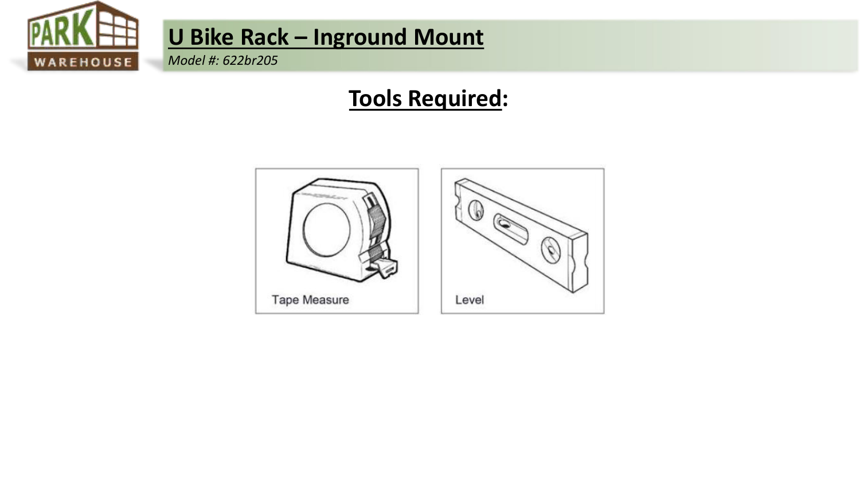

## U Bike Rack - Inground Mount

Model #: 622br205

### **Tools Required:**

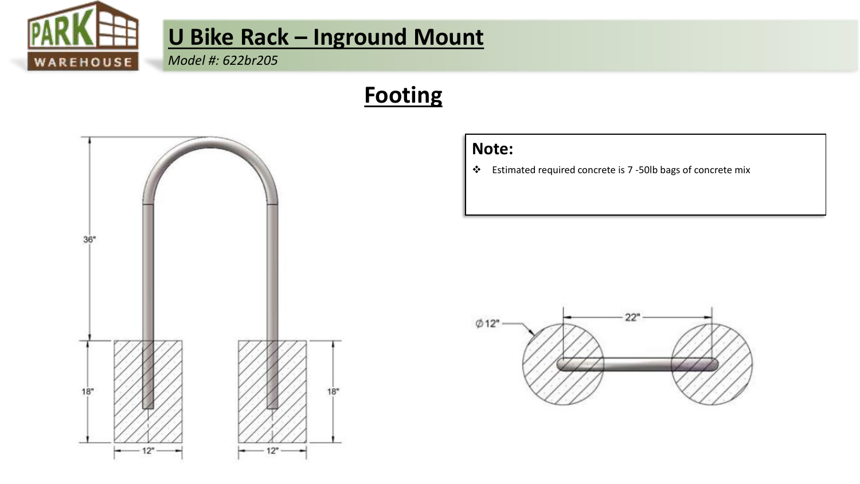

# **U Bike Rack – Inground Mount**

*Model #: 622br205*

## **Footing**





❖ Estimated required concrete is 7 -50lb bags of concrete mix

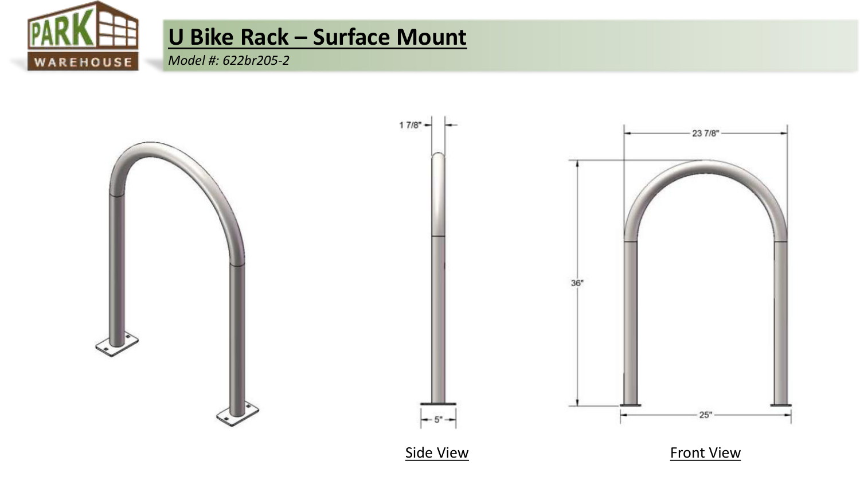

## **U Bike Rack – Surface Mount**

*Model #: 622br205-2*

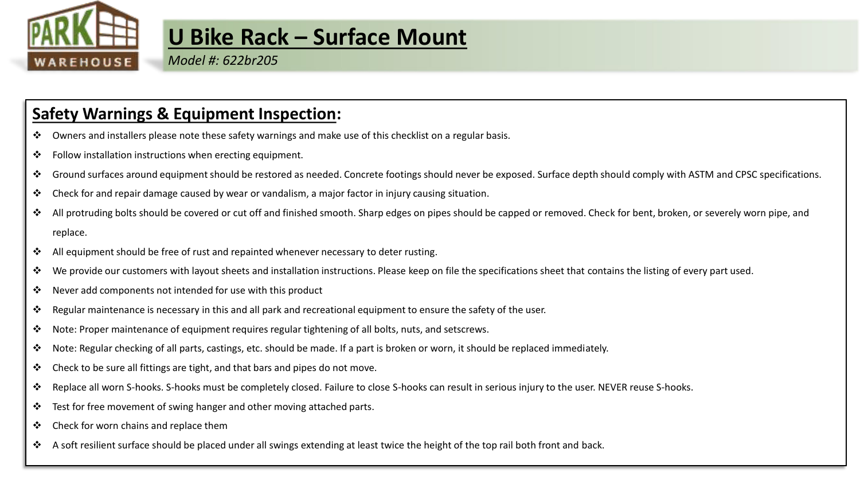

### **U Bike Rack – Surface Mount**

*Model #: 622br205*

#### **Safety Warnings & Equipment Inspection:**

- ❖ Owners and installers please note these safety warnings and make use of this checklist on a regular basis.
- ❖ Follow installation instructions when erecting equipment.
- ❖ Ground surfaces around equipment should be restored as needed. Concrete footings should never be exposed. Surface depth should comply with ASTM and CPSC specifications.
- ❖ Check for and repair damage caused by wear or vandalism, a major factor in injury causing situation.
- All protruding bolts should be covered or cut off and finished smooth. Sharp edges on pipes should be capped or removed. Check for bent, broken, or severely worn pipe, and replace.
- ❖ All equipment should be free of rust and repainted whenever necessary to deter rusting.
- ❖ We provide our customers with layout sheets and installation instructions. Please keep on file the specifications sheet that contains the listing of every part used.
- ❖ Never add components not intended for use with this product
- ❖ Regular maintenance is necessary in this and all park and recreational equipment to ensure the safety of the user.
- $\dots$  Note: Proper maintenance of equipment requires regular tightening of all bolts, nuts, and setscrews.
- ❖ Note: Regular checking of all parts, castings, etc. should be made. If a part is broken or worn, it should be replaced immediately.
- ❖ Check to be sure all fittings are tight, and that bars and pipes do not move.
- ❖ Replace all worn S-hooks. S-hooks must be completely closed. Failure to close S-hooks can result in serious injury to the user. NEVER reuse S-hooks.
- ❖ Test for free movement of swing hanger and other moving attached parts.
- ❖ Check for worn chains and replace them
- ❖ A soft resilient surface should be placed under all swings extending at least twice the height of the top rail both front and back.